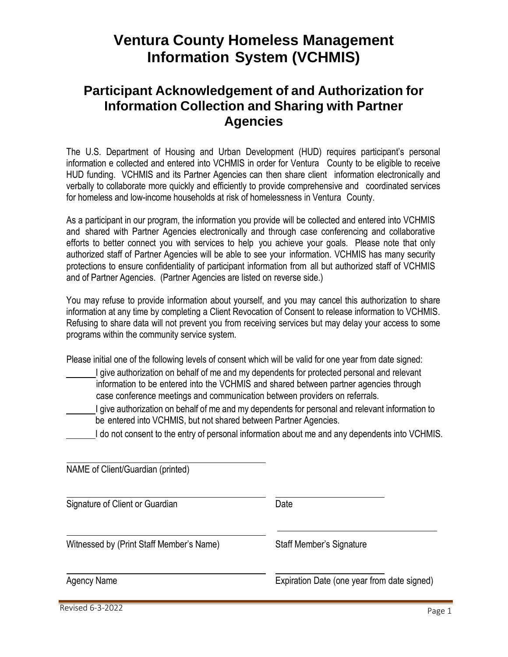## **Ventura County Homeless Management Information System (VCHMIS)**

## **Participant Acknowledgement of and Authorization for Information Collection and Sharing with Partner Agencies**

The U.S. Department of Housing and Urban Development (HUD) requires participant's personal information e collected and entered into VCHMIS in order for Ventura County to be eligible to receive HUD funding. VCHMIS and its Partner Agencies can then share client information electronically and verbally to collaborate more quickly and efficiently to provide comprehensive and coordinated services for homeless and low-income households at risk of homelessness in Ventura County.

As a participant in our program, the information you provide will be collected and entered into VCHMIS and shared with Partner Agencies electronically and through case conferencing and collaborative efforts to better connect you with services to help you achieve your goals. Please note that only authorized staff of Partner Agencies will be able to see your information. VCHMIS has many security protections to ensure confidentiality of participant information from all but authorized staff of VCHMIS and of Partner Agencies. (Partner Agencies are listed on reverse side.)

You may refuse to provide information about yourself, and you may cancel this authorization to share information at any time by completing a Client Revocation of Consent to release information to VCHMIS. Refusing to share data will not prevent you from receiving services but may delay your access to some programs within the community service system.

Please initial one of the following levels of consent which will be valid for one year from date signed:

- I give authorization on behalf of me and my dependents for protected personal and relevant information to be entered into the VCHMIS and shared between partner agencies through case conference meetings and communication between providers on referrals.
- I give authorization on behalf of me and my dependents for personal and relevant information to be entered into VCHMIS, but not shared between Partner Agencies.
	- I do not consent to the entry of personal information about me and any dependents into VCHMIS.

| NAME of Client/Guardian (printed)        |                                             |
|------------------------------------------|---------------------------------------------|
| Signature of Client or Guardian          | Date                                        |
| Witnessed by (Print Staff Member's Name) | Staff Member's Signature                    |
| Agency Name                              | Expiration Date (one year from date signed) |

Revised 6-3-2022 **Page 1**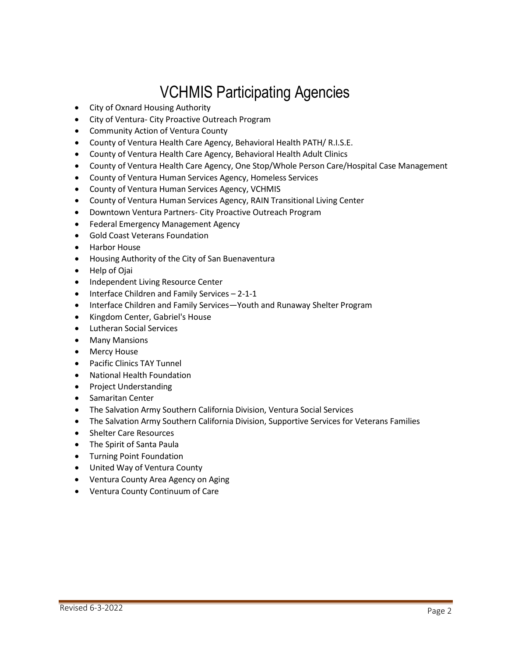## VCHMIS Participating Agencies

- City of Oxnard Housing Authority
- City of Ventura- City Proactive Outreach Program
- Community Action of Ventura County
- County of Ventura Health Care Agency, Behavioral Health PATH/ R.I.S.E.
- County of Ventura Health Care Agency, Behavioral Health Adult Clinics
- County of Ventura Health Care Agency, One Stop/Whole Person Care/Hospital Case Management
- County of Ventura Human Services Agency, Homeless Services
- County of Ventura Human Services Agency, VCHMIS
- County of Ventura Human Services Agency, RAIN Transitional Living Center
- Downtown Ventura Partners- City Proactive Outreach Program
- Federal Emergency Management Agency
- Gold Coast Veterans Foundation
- Harbor House
- Housing Authority of the City of San Buenaventura
- Help of Ojai
- Independent Living Resource Center
- Interface Children and Family Services 2-1-1
- Interface Children and Family Services—Youth and Runaway Shelter Program
- Kingdom Center, Gabriel's House
- Lutheran Social Services
- Many Mansions
- Mercy House
- Pacific Clinics TAY Tunnel
- National Health Foundation
- Project Understanding
- Samaritan Center
- The Salvation Army Southern California Division, Ventura Social Services
- The Salvation Army Southern California Division, Supportive Services for Veterans Families
- Shelter Care Resources
- The Spirit of Santa Paula
- Turning Point Foundation
- United Way of Ventura County
- Ventura County Area Agency on Aging
- Ventura County Continuum of Care